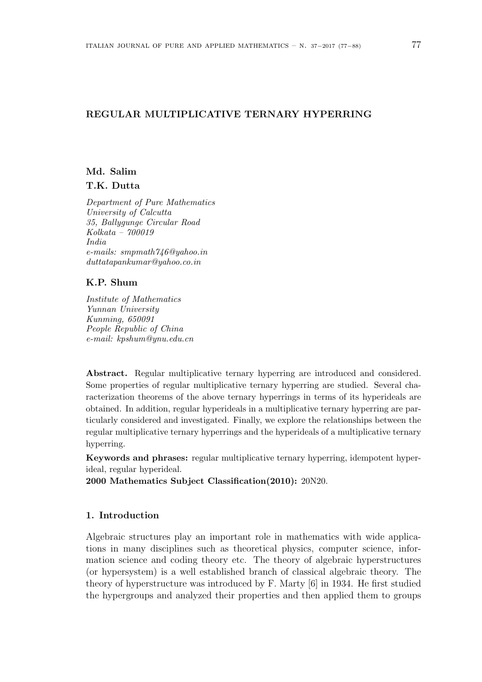### **REGULAR MULTIPLICATIVE TERNARY HYPERRING**

# **Md. Salim T.K. Dutta**

*Department of Pure Mathematics University of Calcutta 35, Ballygunge Circular Road Kolkata – 700019 India e-mails: smpmath746@yahoo.in duttatapankumar@yahoo.co.in*

# **K.P. Shum**

*Institute of Mathematics Yunnan University Kunming, 650091 People Republic of China e-mail: kpshum@ynu.edu.cn*

**Abstract.** Regular multiplicative ternary hyperring are introduced and considered. Some properties of regular multiplicative ternary hyperring are studied. Several characterization theorems of the above ternary hyperrings in terms of its hyperideals are obtained. In addition, regular hyperideals in a multiplicative ternary hyperring are particularly considered and investigated. Finally, we explore the relationships between the regular multiplicative ternary hyperrings and the hyperideals of a multiplicative ternary hyperring.

**Keywords and phrases:** regular multiplicative ternary hyperring, idempotent hyperideal, regular hyperideal.

**2000 Mathematics Subject Classification(2010):** 20N20.

## **1. Introduction**

Algebraic structures play an important role in mathematics with wide applications in many disciplines such as theoretical physics, computer science, information science and coding theory etc. The theory of algebraic hyperstructures (or hypersystem) is a well established branch of classical algebraic theory. The theory of hyperstructure was introduced by F. Marty [6] in 1934. He first studied the hypergroups and analyzed their properties and then applied them to groups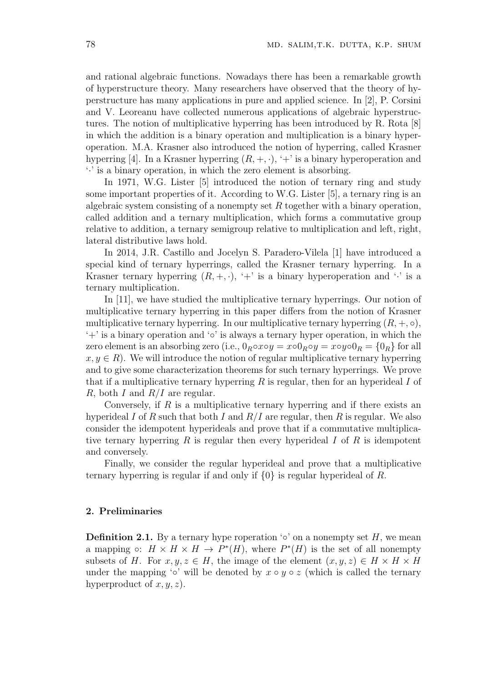and rational algebraic functions. Nowadays there has been a remarkable growth of hyperstructure theory. Many researchers have observed that the theory of hyperstructure has many applications in pure and applied science. In [2], P. Corsini and V. Leoreanu have collected numerous applications of algebraic hyperstructures. The notion of multiplicative hyperring has been introduced by R. Rota [8] in which the addition is a binary operation and multiplication is a binary hyperoperation. M.A. Krasner also introduced the notion of hyperring, called Krasner hyperring [4]. In a Krasner hyperring  $(R, +, \cdot)$ ,  $\cdot +$  is a binary hyperoperation and '*·*' is a binary operation, in which the zero element is absorbing.

In 1971, W.G. Lister [5] introduced the notion of ternary ring and study some important properties of it. According to W.G. Lister [5], a ternary ring is an algebraic system consisting of a nonempty set *R* together with a binary operation, called addition and a ternary multiplication, which forms a commutative group relative to addition, a ternary semigroup relative to multiplication and left, right, lateral distributive laws hold.

In 2014, J.R. Castillo and Jocelyn S. Paradero-Vilela [1] have introduced a special kind of ternary hyperrings, called the Krasner ternary hyperring. In a Krasner ternary hyperring  $(R, +, \cdot)$ ,  $' +'$  is a binary hyperoperation and  $'$  is a ternary multiplication.

In [11], we have studied the multiplicative ternary hyperrings. Our notion of multiplicative ternary hyperring in this paper differs from the notion of Krasner multiplicative ternary hyperring. In our multiplicative ternary hyperring  $(R, +, \circ),$ '+' is a binary operation and '*◦*' is always a ternary hyper operation, in which the zero element is an absorbing zero (i.e.,  $0_R \circ x \circ y = x \circ 0_R \circ y = x \circ y \circ 0_R = \{0_R\}$  for all  $x, y \in R$ ). We will introduce the notion of regular multiplicative ternary hyperring and to give some characterization theorems for such ternary hyperrings. We prove that if a multiplicative ternary hyperring *R* is regular, then for an hyperideal *I* of *R*, both *I* and *R/I* are regular.

Conversely, if *R* is a multiplicative ternary hyperring and if there exists an hyperideal *I* of *R* such that both *I* and *R/I* are regular, then *R* is regular. We also consider the idempotent hyperideals and prove that if a commutative multiplicative ternary hyperring *R* is regular then every hyperideal *I* of *R* is idempotent and conversely.

Finally, we consider the regular hyperideal and prove that a multiplicative ternary hyperring is regular if and only if *{*0*}* is regular hyperideal of *R*.

#### **2. Preliminaries**

**Definition 2.1.** By a ternary hype roperation  $\circ \circ$  on a nonempty set *H*, we mean a mapping  $\circ$ :  $H \times H \times H \to P^*(H)$ , where  $P^*(H)$  is the set of all nonempty subsets of *H*. For  $x, y, z \in H$ , the image of the element  $(x, y, z) \in H \times H \times H$ under the mapping ' $\circ$ ' will be denoted by  $x \circ y \circ z$  (which is called the ternary hyperproduct of *x, y, z*).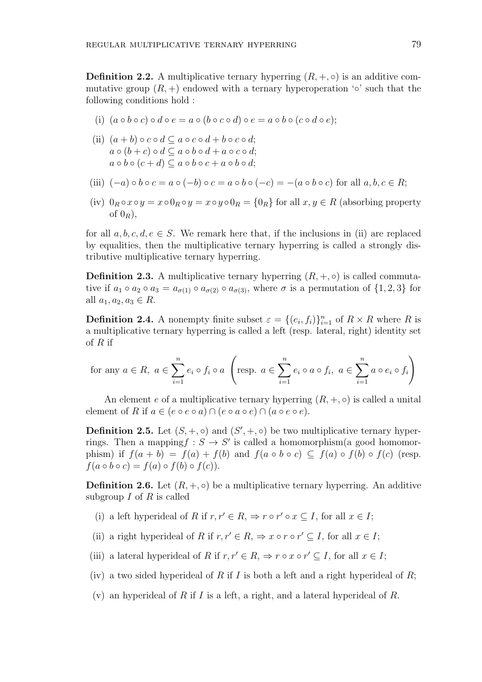**Definition 2.2.** A multiplicative ternary hyperring  $(R, +, \circ)$  is an additive commutative group  $(R,+)$  endowed with a ternary hyperoperation  $\circ \circ$  such that the following conditions hold :

- (i)  $(a \circ b \circ c) \circ d \circ e = a \circ (b \circ c \circ d) \circ e = a \circ b \circ (c \circ d \circ e);$
- (ii)  $(a + b) \circ c \circ d \subseteq a \circ c \circ d + b \circ c \circ d$ ; *a*  $\circ$  (*b* + *c*)  $\circ$  *d*  $\subseteq$  *a*  $\circ$  *b*  $\circ$  *d* + *a*  $\circ$  *c*  $\circ$  *d*;  $a \circ b \circ (c + d) \subseteq a \circ b \circ c + a \circ b \circ d$ ;
- (iii)  $(-a) \circ b \circ c = a \circ (-b) \circ c = a \circ b \circ (-c) = -(a \circ b \circ c)$  for all  $a, b, c \in R$ ;
- (iv)  $0_R \circ x \circ y = x \circ 0_R \circ y = x \circ y \circ 0_R = \{0_R\}$  for all  $x, y \in R$  (absorbing property of  $0_R$ ),

for all  $a, b, c, d, e \in S$ . We remark here that, if the inclusions in (ii) are replaced by equalities, then the multiplicative ternary hyperring is called a strongly distributive multiplicative ternary hyperring.

**Definition 2.3.** A multiplicative ternary hyperring  $(R, +, \circ)$  is called commutative if  $a_1 \circ a_2 \circ a_3 = a_{\sigma(1)} \circ a_{\sigma(2)} \circ a_{\sigma(3)}$ , where  $\sigma$  is a permutation of  $\{1,2,3\}$  for all  $a_1, a_2, a_3 \in R$ .

**Definition 2.4.** A nonempty finite subset  $\varepsilon = \{(e_i, f_i)\}_{i=1}^n$  of  $R \times R$  where R is a multiplicative ternary hyperring is called a left (resp. lateral, right) identity set of *R* if

for any 
$$
a \in R
$$
,  $a \in \sum_{i=1}^{n} e_i \circ f_i \circ a$   $\left(\text{resp. } a \in \sum_{i=1}^{n} e_i \circ a \circ f_i, a \in \sum_{i=1}^{n} a \circ e_i \circ f_i\right)$ 

An element *e* of a multiplicative ternary hyperring  $(R, +, \circ)$  is called a unital element of *R* if  $a \in (e \circ e \circ a) \cap (e \circ a \circ e) \cap (a \circ e \circ e)$ .

**Definition 2.5.** Let  $(S, +, \circ)$  and  $(S', +, \circ)$  be two multiplicative ternary hyperrings. Then a mapping $f : S \to S'$  is called a homomorphism(a good homomorphism) if  $f(a + b) = f(a) + f(b)$  and  $f(a \circ b \circ c) \subseteq f(a) \circ f(b) \circ f(c)$  (resp.  $f(a \circ b \circ c) = f(a) \circ f(b) \circ f(c)$ .

**Definition 2.6.** Let  $(R, +, \circ)$  be a multiplicative ternary hyperring. An additive subgroup *I* of *R* is called

- (i) a left hyperideal of *R* if  $r, r' \in R$ ,  $\Rightarrow$   $r \circ r' \circ x \subseteq I$ , for all  $x \in I$ ;
- (ii) a right hyperideal of *R* if  $r, r' \in R$ ,  $\Rightarrow x \circ r \circ r' \subseteq I$ , for all  $x \in I$ ;
- (iii) a lateral hyperideal of *R* if  $r, r' \in R$ ,  $\Rightarrow r \circ x \circ r' \subseteq I$ , for all  $x \in I$ ;
- (iv) a two sided hyperideal of *R* if *I* is both a left and a right hyperideal of *R*;
- (v) an hyperideal of *R* if *I* is a left, a right, and a lateral hyperideal of *R*.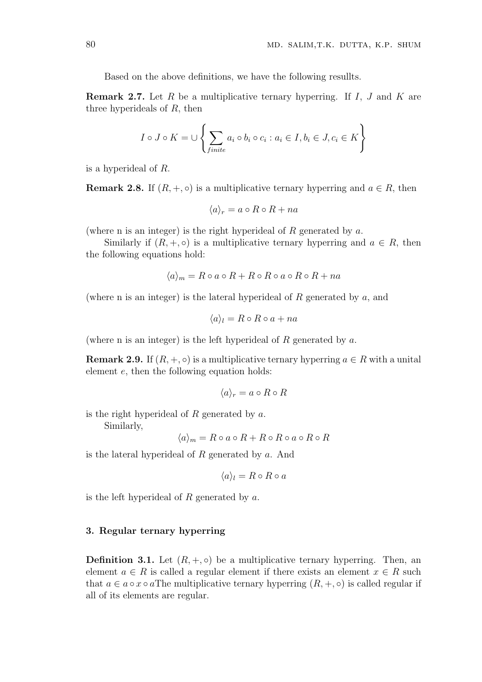Based on the above definitions, we have the following resullts.

**Remark 2.7.** Let *R* be a multiplicative ternary hyperring. If *I*, *J* and *K* are three hyperideals of *R*, then

$$
I \circ J \circ K = \cup \left\{ \sum_{finite} a_i \circ b_i \circ c_i : a_i \in I, b_i \in J, c_i \in K \right\}
$$

is a hyperideal of *R*.

**Remark 2.8.** If  $(R, +, \circ)$  is a multiplicative ternary hyperring and  $a \in R$ , then

$$
\langle a \rangle_r = a \circ R \circ R + na
$$

(where n is an integer) is the right hyperideal of *R* generated by *a*.

Similarly if  $(R, +, \circ)$  is a multiplicative ternary hyperring and  $a \in R$ , then the following equations hold:

$$
\langle a \rangle_m = R \circ a \circ R + R \circ R \circ a \circ R \circ R + na
$$

(where n is an integer) is the lateral hyperideal of *R* generated by *a*, and

$$
\langle a \rangle_l = R \circ R \circ a + na
$$

(where n is an integer) is the left hyperideal of *R* generated by *a*.

**Remark 2.9.** If  $(R, +, \circ)$  is a multiplicative ternary hyperring  $a \in R$  with a unital element *e*, then the following equation holds:

$$
\langle a\rangle_r=a\circ R\circ R
$$

is the right hyperideal of *R* generated by *a*.

Similarly,

$$
\langle a \rangle_m = R \circ a \circ R + R \circ R \circ a \circ R \circ R
$$

is the lateral hyperideal of *R* generated by *a*. And

$$
\langle a \rangle_l = R \circ R \circ a
$$

is the left hyperideal of *R* generated by *a*.

#### **3. Regular ternary hyperring**

**Definition 3.1.** Let  $(R, +, \circ)$  be a multiplicative ternary hyperring. Then, an element  $a \in R$  is called a regular element if there exists an element  $x \in R$  such that  $a \in a \circ x \circ a$  The multiplicative ternary hyperring  $(R, +, \circ)$  is called regular if all of its elements are regular.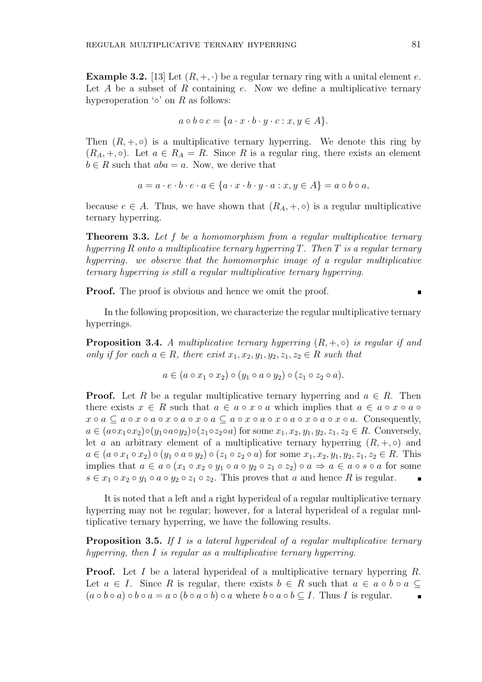**Example 3.2.** [13] Let  $(R, +, \cdot)$  be a regular ternary ring with a unital element *e*. Let *A* be a subset of *R* containing *e*. Now we define a multiplicative ternary hyperoperation '*◦*' on *R* as follows:

$$
a \circ b \circ c = \{a \cdot x \cdot b \cdot y \cdot c : x, y \in A\}.
$$

Then  $(R, +, \circ)$  is a multiplicative ternary hyperring. We denote this ring by  $(R_A, +, \circ)$ . Let  $a \in R_A = R$ . Since R is a regular ring, there exists an element  $b \in R$  such that  $aba = a$ . Now, we derive that

$$
a = a \cdot e \cdot b \cdot e \cdot a \in \{a \cdot x \cdot b \cdot y \cdot a : x, y \in A\} = a \circ b \circ a,
$$

because  $e \in A$ . Thus, we have shown that  $(R_A, +, \circ)$  is a regular multiplicative ternary hyperring.

**Theorem 3.3.** *Let f be a homomorphism from a regular multiplicative ternary hyperring R onto a multiplicative ternary hyperring T. Then T is a regular ternary hyperring. we observe that the homomorphic image of a regular multiplicative ternary hyperring is still a regular multiplicative ternary hyperring.*

**Proof.** The proof is obvious and hence we omit the proof.

In the following proposition, we characterize the regular multiplicative ternary hyperrings.

**Proposition 3.4.** *A multiplicative ternary hyperring*  $(R, +, \circ)$  *is regular if and only if for each*  $a \in R$ *, there exist*  $x_1, x_2, y_1, y_2, z_1, z_2 \in R$  such that

$$
a \in (a \circ x_1 \circ x_2) \circ (y_1 \circ a \circ y_2) \circ (z_1 \circ z_2 \circ a).
$$

**Proof.** Let *R* be a regular multiplicative ternary hyperring and  $a \in R$ . Then there exists  $x \in R$  such that  $a \in a \circ x \circ a$  which implies that  $a \in a \circ x \circ a \circ a$  $x \circ a \subseteq a \circ x \circ a \circ x \circ a \circ x \circ a \subseteq a \circ x \circ a \circ x \circ a \circ x \circ a \circ x \circ a$ . Consequently,  $a \in (a \circ x_1 \circ x_2) \circ (y_1 \circ a \circ y_2) \circ (z_1 \circ z_2 \circ a)$  for some  $x_1, x_2, y_1, y_2, z_1, z_2 \in R$ . Conversely, let *a* an arbitrary element of a multiplicative ternary hyperring  $(R, +, \circ)$  and  $a \in (a \circ x_1 \circ x_2) \circ (y_1 \circ a \circ y_2) \circ (z_1 \circ z_2 \circ a)$  for some  $x_1, x_2, y_1, y_2, z_1, z_2 \in R$ . This implies that  $a \in a \circ (x_1 \circ x_2 \circ y_1 \circ a \circ y_2 \circ z_1 \circ z_2) \circ a \Rightarrow a \in a \circ s \circ a$  for some  $s \in x_1 \circ x_2 \circ y_1 \circ a \circ y_2 \circ z_1 \circ z_2$ . This proves that *a* and hence *R* is regular.

It is noted that a left and a right hyperideal of a regular multiplicative ternary hyperring may not be regular; however, for a lateral hyperideal of a regular multiplicative ternary hyperring, we have the following results.

**Proposition 3.5.** *If I is a lateral hyperideal of a regular multiplicative ternary hyperring, then I is regular as a multiplicative ternary hyperring.*

**Proof.** Let *I* be a lateral hyperideal of a multiplicative ternary hyperring *R*. Let  $a \in I$ . Since R is regular, there exists  $b \in R$  such that  $a \in a \circ b \circ a \subseteq I$ .  $(a \circ b \circ a) \circ b \circ a = a \circ (b \circ a \circ b) \circ a$  where  $b \circ a \circ b \subset I$ . Thus I is regular.  $\blacksquare$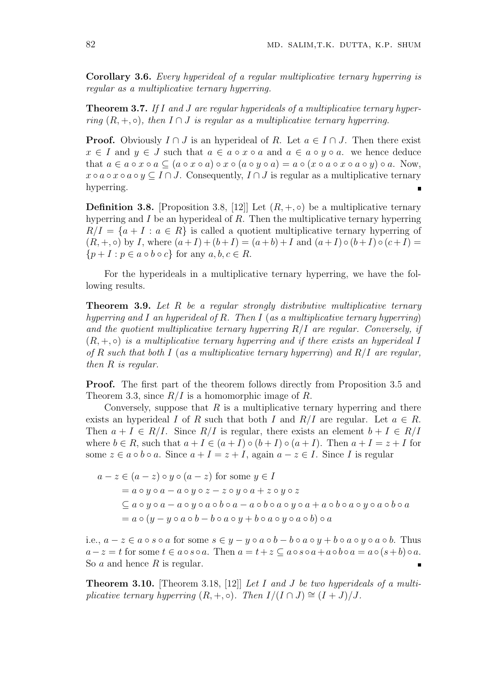**Corollary 3.6.** *Every hyperideal of a regular multiplicative ternary hyperring is regular as a multiplicative ternary hyperring.*

**Theorem 3.7.** *If I and J are regular hyperideals of a multiplicative ternary hyperring*  $(R, +, \circ)$ *, then*  $I \cap J$  *is regular as a multiplicative ternary hyperring.* 

**Proof.** Obviously  $I \cap J$  is an hyperideal of *R*. Let  $a \in I \cap J$ . Then there exist *x*  $\in$  *I* and *y*  $\in$  *J* such that *a*  $\in$  *a*  $\circ$  *x*  $\circ$  *a* and *a*  $\in$  *a*  $\circ$  *y*  $\circ$  *a*. we hence deduce that  $a \in a \circ x \circ a \subseteq (a \circ x \circ a) \circ x \circ (a \circ y \circ a) = a \circ (x \circ a \circ x \circ a \circ y) \circ a$ . Now,  $x \circ a \circ x \circ a \circ y \subseteq I \cap J$ . Consequently,  $I \cap J$  is regular as a multiplicative ternary hyperring.

**Definition 3.8.** [Proposition 3.8, [12]] Let  $(R, +, \circ)$  be a multiplicative ternary hyperring and *I* be an hyperideal of *R*. Then the multiplicative ternary hyperring  $R/I = \{a + I : a \in R\}$  is called a quotient multiplicative ternary hyperring of  $(R, +, \circ)$  by *I*, where  $(a+I)+(b+I) = (a+b)+I$  and  $(a+I)\circ(b+I)\circ(c+I) =$  ${p+I : p \in a \circ b \circ c}$  for any  $a, b, c \in R$ .

For the hyperideals in a multiplicative ternary hyperring, we have the following results.

**Theorem 3.9.** *Let R be a regular strongly distributive multiplicative ternary hyperring and I an hyperideal of R. Then I* (*as a multiplicative ternary hyperring*) *and the quotient multiplicative ternary hyperring R/I are regular. Conversely, if*  $(R, +, \circ)$  *is a multiplicative ternary hyperring and if there exists an hyperideal I of R such that both I* (*as a multiplicative ternary hyperring*) *and R/I are regular, then R is regular.*

**Proof.** The first part of the theorem follows directly from Proposition 3.5 and Theorem 3.3, since *R/I* is a homomorphic image of *R*.

Conversely, suppose that *R* is a multiplicative ternary hyperring and there exists an hyperideal *I* of *R* such that both *I* and  $R/I$  are regular. Let  $a \in R$ . Then  $a + I \in R/I$ . Since  $R/I$  is regular, there exists an element  $b + I \in R/I$ where  $b \in R$ , such that  $a + I \in (a + I) \circ (b + I) \circ (a + I)$ . Then  $a + I = z + I$  for some  $z \in a \circ b \circ a$ . Since  $a + I = z + I$ , again  $a - z \in I$ . Since *I* is regular

$$
a - z \in (a - z) \circ y \circ (a - z) \text{ for some } y \in I
$$
  
=  $a \circ y \circ a - a \circ y \circ z - z \circ y \circ a + z \circ y \circ z$   

$$
\subseteq a \circ y \circ a - a \circ y \circ a \circ b \circ a - a \circ b \circ a \circ y \circ a + a \circ b \circ a \circ y \circ a \circ b \circ a
$$
  
=  $a \circ (y - y \circ a \circ b - b \circ a \circ y + b \circ a \circ y \circ a \circ b) \circ a$ 

i.e.,  $a-z\in a\circ s\circ a$  for some  $s\in y-y\circ a\circ b-b\circ a\circ y+b\circ a\circ y\circ a\circ b$ . Thus  $a-z=t$  for some  $t \in a \circ s \circ a$ . Then  $a=t+z \subseteq a \circ s \circ a + a \circ b \circ a = a \circ (s+b) \circ a$ . So *a* and hence *R* is regular.

**Theorem 3.10.** [Theorem 3.18, [12]] *Let I and J be two hyperideals of a multiplicative ternary hyperring*  $(R, +, \circ)$ *. Then*  $I/(I \cap J) \cong (I + J)/J$ .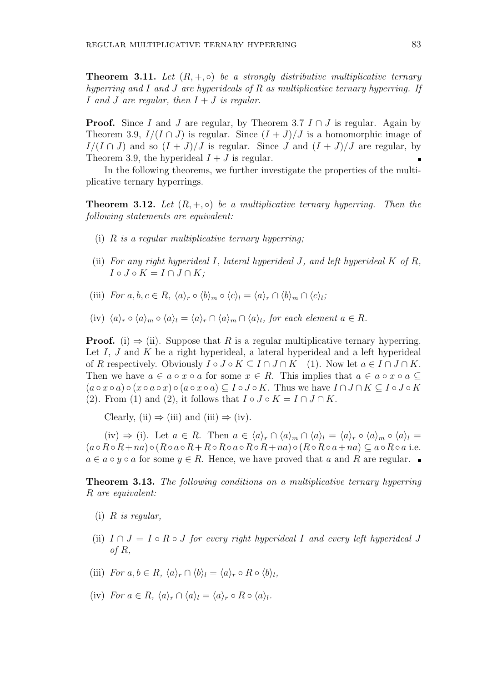**Theorem 3.11.** *Let* (*R,* +*, ◦*) *be a strongly distributive multiplicative ternary hyperring and I and J are hyperideals of R as multiplicative ternary hyperring. If I and J are regular, then I* + *J is regular.*

**Proof.** Since *I* and *J* are regular, by Theorem 3.7  $I \cap J$  is regular. Again by Theorem 3.9,  $I/(I \cap J)$  is regular. Since  $(I + J)/J$  is a homomorphic image of  $I/(I \cap J)$  and so  $(I + J)/J$  is regular. Since *J* and  $(I + J)/J$  are regular, by Theorem 3.9, the hyperideal  $I + J$  is regular.

In the following theorems, we further investigate the properties of the multiplicative ternary hyperrings.

**Theorem 3.12.** *Let*  $(R, +, \circ)$  *be a multiplicative ternary hyperring. Then the following statements are equivalent:*

- (i) *R is a regular multiplicative ternary hyperring;*
- (ii) *For any right hyperideal I, lateral hyperideal J, and left hyperideal K of R,*  $I \circ J \circ K = I \cap J \cap K$ ;
- (iii) For  $a, b, c \in R$ ,  $\langle a \rangle_r \circ \langle b \rangle_m \circ \langle c \rangle_l = \langle a \rangle_r \cap \langle b \rangle_m \cap \langle c \rangle_l$ ;
- (iv)  $\langle a \rangle_r \circ \langle a \rangle_m \circ \langle a \rangle_l = \langle a \rangle_r \cap \langle a \rangle_m \cap \langle a \rangle_l$ , for each element  $a \in R$ .

**Proof.** (i)  $\Rightarrow$  (ii). Suppose that *R* is a regular multiplicative ternary hyperring. Let *I*, *J* and *K* be a right hyperideal, a lateral hyperideal and a left hyperideal of *R* respectively. Obviously  $I \circ J \circ K \subseteq I \cap J \cap K$  (1). Now let  $a \in I \cap J \cap K$ . Then we have  $a \in a \circ x \circ a$  for some  $x \in R$ . This implies that  $a \in a \circ x \circ a \subseteq a$  $(a \circ x \circ a) \circ (x \circ a \circ x) \circ (a \circ x \circ a) \subseteq I \circ J \circ K$ . Thus we have  $I \cap J \cap K \subseteq I \circ J \circ K$ (2). From (1) and (2), it follows that  $I \circ J \circ K = I \cap J \cap K$ .

Clearly, (ii)  $\Rightarrow$  (iii) and (iii)  $\Rightarrow$  (iv).

(iv)  $\Rightarrow$  (i). Let  $a \in R$ . Then  $a \in \langle a \rangle_r \cap \langle a \rangle_m \cap \langle a \rangle_l = \langle a \rangle_r \circ \langle a \rangle_m \circ \langle a \rangle_l =$  $(a \circ R \circ R + na) \circ (R \circ a \circ R + R \circ R \circ a \circ R \circ R + na) \circ (R \circ R \circ a + na) \subseteq a \circ R \circ a$  i.e. *a* ∈ *a*  $\circ$  *y*  $\circ$  *a* for some *y* ∈ *R*. Hence, we have proved that *a* and *R* are regular. ■

**Theorem 3.13.** *The following conditions on a multiplicative ternary hyperring R are equivalent:*

- (i) *R is regular,*
- (ii)  $I \cap J = I \circ R \circ J$  *for every right hyperideal I* and every left hyperideal *J of R,*
- (iii) *For*  $a, b \in R$ ,  $\langle a \rangle_r \cap \langle b \rangle_l = \langle a \rangle_r \circ R \circ \langle b \rangle_l$ ,
- $(iv) \ \ For \ a \in R, \ \langle a \rangle_r \cap \langle a \rangle_l = \langle a \rangle_r \circ R \circ \langle a \rangle_l.$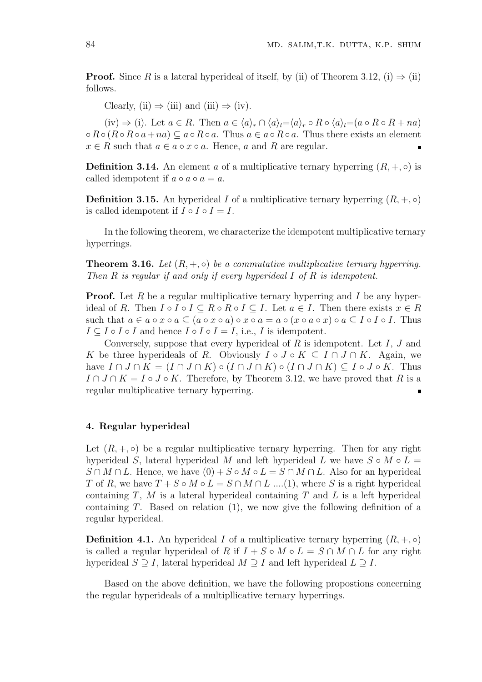**Proof.** Since *R* is a lateral hyperideal of itself, by (ii) of Theorem 3.12, (i)  $\Rightarrow$  (ii) follows.

Clearly, (ii)  $\Rightarrow$  (iii) and (iii)  $\Rightarrow$  (iv).

 $(iv) \Rightarrow (i)$ . Let  $a \in R$ . Then  $a \in \langle a \rangle_r \cap \langle a \rangle_l = \langle a \rangle_r \circ R \circ \langle a \rangle_l = (a \circ R \circ R + na)$  $\circ R \circ (R \circ R \circ a + na) \subseteq a \circ R \circ a$ . Thus  $a \in a \circ R \circ a$ . Thus there exists an element  $x \in R$  such that  $a \in a \circ x \circ a$ . Hence, *a* and *R* are regular.  $\blacksquare$ 

**Definition 3.14.** An element *a* of a multiplicative ternary hyperring  $(R, +, \circ)$  is called idempotent if  $a \circ a \circ a = a$ .

**Definition 3.15.** An hyperideal *I* of a multiplicative ternary hyperring  $(R, +, \circ)$ is called idempotent if  $I \circ I \circ I = I$ .

In the following theorem, we characterize the idempotent multiplicative ternary hyperrings.

**Theorem 3.16.** *Let*  $(R, +, \circ)$  *be a commutative multiplicative ternary hyperring. Then R is regular if and only if every hyperideal I of R is idempotent.*

**Proof.** Let *R* be a regular multiplicative ternary hyperring and *I* be any hyperideal of *R*. Then  $I \circ I \circ I \subseteq R \circ R \circ I \subseteq I$ . Let  $a \in I$ . Then there exists  $x \in R$ such that  $a \in a \circ x \circ a \subseteq (a \circ x \circ a) \circ x \circ a = a \circ (x \circ a \circ x) \circ a \subseteq I \circ I \circ I$ . Thus  $I \subseteq I \circ I \circ I$  and hence  $I \circ I \circ I = I$ , i.e.,  $I$  is idempotent.

Conversely, suppose that every hyperideal of *R* is idempotent. Let *I*, *J* and *K* be three hyperideals of *R*. Obviously  $I \circ J \circ K \subseteq I \cap J \cap K$ . Again, we have  $I \cap J \cap K = (I \cap J \cap K) \circ (I \cap J \cap K) \circ (I \cap J \cap K) \subseteq I \circ J \circ K$ . Thus  $I \cap J \cap K = I \circ J \circ K$ . Therefore, by Theorem 3.12, we have proved that R is a regular multiplicative ternary hyperring.

#### **4. Regular hyperideal**

Let  $(R, +, \circ)$  be a regular multiplicative ternary hyperring. Then for any right hyperideal *S*, lateral hyperideal *M* and left hyperideal *L* we have  $S \circ M \circ L =$ *S* ∩ *M* ∩ *L*. Hence, we have  $(0) + S \circ M \circ L = S \cap M \cap L$ . Also for an hyperideal *T* of *R*, we have  $T + S \circ M \circ L = S \cap M \cap L$  ....(1), where *S* is a right hyperideal containing *T*, *M* is a lateral hyperideal containing *T* and *L* is a left hyperideal containing *T*. Based on relation (1), we now give the following definition of a regular hyperideal.

**Definition 4.1.** An hyperideal *I* of a multiplicative ternary hyperring  $(R, +, \circ)$ is called a regular hyperideal of *R* if  $I + S \circ M \circ L = S \cap M \cap L$  for any right hyperideal  $S \supseteq I$ , lateral hyperideal  $M \supseteq I$  and left hyperideal  $L \supseteq I$ .

Based on the above definition, we have the following propostions concerning the regular hyperideals of a multipllicative ternary hyperrings.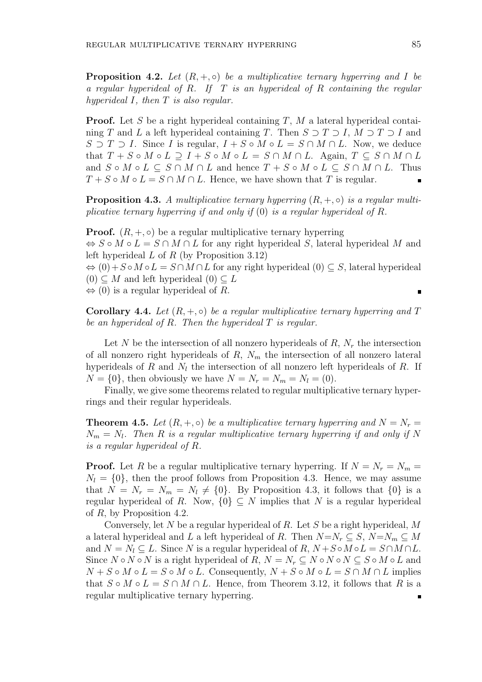**Proposition 4.2.** Let  $(R, +, \circ)$  be a multiplicative ternary hyperring and I be *a regular hyperideal of R. If T is an hyperideal of R containing the regular hyperideal I, then T is also regular.*

**Proof.** Let *S* be a right hyperideal containing *T*, *M* a lateral hyperideal containing *T* and *L* a left hyperideal containing *T*. Then  $S \supset T \supset I$ ,  $M \supset T \supset I$  and *S* ⊃ *T* ⊃ *I*. Since *I* is regular,  $I + S \circ M \circ L = S \cap M \cap L$ . Now, we deduce that  $T + S \circ M \circ L \supset I + S \circ M \circ L = S \cap M \cap L$ . Again,  $T \subseteq S \cap M \cap L$ and  $S \circ M \circ L \subseteq S \cap M \cap L$  and hence  $T + S \circ M \circ L \subseteq S \cap M \cap L$ . Thus  $T + S \circ M \circ L = S \cap M \cap L$ . Hence, we have shown that *T* is regular.

**Proposition 4.3.** *A multiplicative ternary hyperring*  $(R, +, \circ)$  *is a regular multiplicative ternary hyperring if and only if* (0) *is a regular hyperideal of R.*

**Proof.**  $(R, +, \circ)$  be a regular multiplicative ternary hyperring *⇔ S ◦ M ◦ L* = *S ∩ M ∩ L* for any right hyperideal *S*, lateral hyperideal *M* and left hyperideal *L* of *R* (by Proposition 3.12)

 $\Leftrightarrow$   $(0) + S \circ M \circ L = S \cap M \cap L$  for any right hyperideal  $(0) \subset S$ , lateral hyperideal  $(0)$  ⊂ *M* and left hyperideal  $(0)$  ⊂ *L* 

*⇔* (0) is a regular hyperideal of *R*.

**Corollary 4.4.** Let  $(R, +, \circ)$  be a regular multiplicative ternary hyperring and T *be an hyperideal of R. Then the hyperideal T is regular.*

Let *N* be the intersection of all nonzero hyperideals of  $R$ ,  $N_r$  the intersection of all nonzero right hyperideals of *R*, *N<sup>m</sup>* the intersection of all nonzero lateral hyperideals of *R* and *N<sup>l</sup>* the intersection of all nonzero left hyperideals of *R*. If  $N = \{0\}$ , then obviously we have  $N = N_r = N_m = N_l = (0)$ .

Finally, we give some theorems related to regular multiplicative ternary hyperrings and their regular hyperideals.

**Theorem 4.5.** *Let*  $(R, +, \circ)$  *be a multiplicative ternary hyperring and*  $N = N_r =$  $N_m = N_l$ . Then *R* is a regular multiplicative ternary hyperring if and only if N *is a regular hyperideal of R.*

**Proof.** Let *R* be a regular multiplicative ternary hyperring. If  $N = N_r = N_m$  $N_l = \{0\}$ , then the proof follows from Proposition 4.3. Hence, we may assume that  $N = N_r = N_m = N_l \neq \{0\}$ . By Proposition 4.3, it follows that  $\{0\}$  is a regular hyperideal of *R*. Now,  $\{0\} \subseteq N$  implies that N is a regular hyperideal of *R*, by Proposition 4.2.

Conversely, let *N* be a regular hyperideal of *R*. Let *S* be a right hyperideal, *M* a lateral hyperideal and *L* a left hyperideal of *R*. Then  $N=N_r \subseteq S$ ,  $N=N_m \subseteq M$ and  $N = N_l \subseteq L$ . Since  $N$  is a regular hyperideal of  $R, N + S \circ M \circ L = S \cap M \cap L$ . Since  $N \circ N \circ N$  is a right hyperideal of  $R, N = N_r \subseteq N \circ N \circ N \subseteq S \circ M \circ L$  and  $N+S\circ M\circ L=S\circ M\circ L$ . Consequently,  $N+S\circ M\circ L=S\cap M\cap L$  implies that  $S \circ M \circ L = S \cap M \cap L$ . Hence, from Theorem 3.12, it follows that R is a regular multiplicative ternary hyperring.É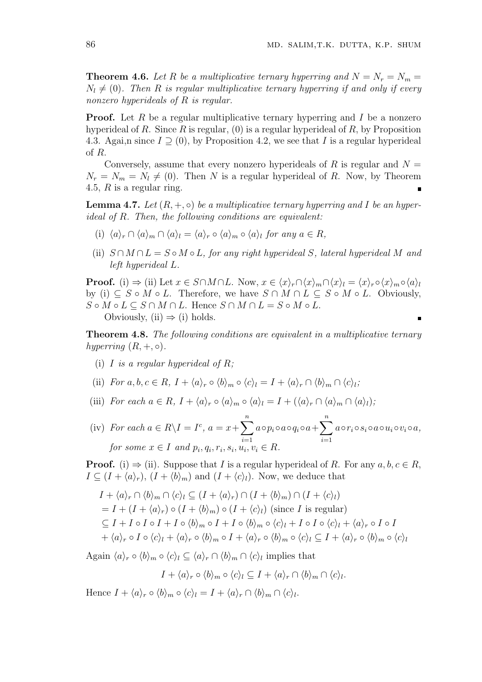**Theorem 4.6.** Let R be a multiplicative ternary hyperring and  $N = N_r = N_m =$  $N_l \neq (0)$ *. Then R is regular multiplicative ternary hyperring if and only if every nonzero hyperideals of R is regular.*

**Proof.** Let R be a regular multiplicative ternary hyperring and I be a nonzero hyperideal of *R*. Since *R* is regular, (0) is a regular hyperideal of *R*, by Proposition 4.3. Agai,n since *I ⊇* (0), by Proposition 4.2, we see that *I* is a regular hyperideal of *R*.

Conversely, assume that every nonzero hyperideals of  $R$  is regular and  $N =$  $N_r = N_m = N_l \neq (0)$ . Then *N* is a regular hyperideal of *R*. Now, by Theorem 4.5, *R* is a regular ring.

**Lemma 4.7.** *Let*  $(R, +, \circ)$  *be a multiplicative ternary hyperring and I be an hyperideal of R. Then, the following conditions are equivalent:*

- (i)  $\langle a \rangle_r \cap \langle a \rangle_m \cap \langle a \rangle_l = \langle a \rangle_r \circ \langle a \rangle_m \circ \langle a \rangle_l$  for any  $a \in R$ ,
- (ii)  $S \cap M \cap L = S \circ M \circ L$ , for any right hyperideal *S*, lateral hyperideal *M* and *left hyperideal L.*

**Proof.** (i)  $\Rightarrow$  (ii) Let  $x \in S \cap M \cap L$ . Now,  $x \in \langle x \rangle_r \cap \langle x \rangle_m \cap \langle x \rangle_l = \langle x \rangle_r \circ \langle x \rangle_m \circ \langle a \rangle_l$ by (i)  $\subseteq S \circ M \circ L$ . Therefore, we have  $S \cap M \cap L \subseteq S \circ M \circ L$ . Obviously,  $S \circ M \circ L \subseteq S \cap M \cap L$ . Hence  $S \cap M \cap L = S \circ M \circ L$ . Obviously, (ii)  $\Rightarrow$  (i) holds.

**Theorem 4.8.** *The following conditions are equivalent in a multiplicative ternary hyperring*  $(R, +, \circ)$ *.* 

(i) *I is a regular hyperideal of R;*

(ii) For 
$$
a, b, c \in R
$$
,  $I + \langle a \rangle_r \circ \langle b \rangle_m \circ \langle c \rangle_l = I + \langle a \rangle_r \cap \langle b \rangle_m \cap \langle c \rangle_l$ ;

- (iii) For each  $a \in R$ ,  $I + \langle a \rangle_r \circ \langle a \rangle_m \circ \langle a \rangle_l = I + (\langle a \rangle_r \cap \langle a \rangle_m \cap \langle a \rangle_l);$
- (iv) *For each*  $a \in R \setminus I = I^c$ ,  $a = x + \sum_{i=1}^{n}$ *i*=1 *a*∘ $p_i \circ a \circ q_i \circ a + \sum^n$ *i*=1 *a◦ri◦si◦a◦ui◦vi◦a, for some*  $x \in I$  *and*  $p_i, q_i, r_i, s_i, u_i, v_i \in R$ .

**Proof.** (i)  $\Rightarrow$  (ii). Suppose that *I* is a regular hyperideal of *R*. For any  $a, b, c \in R$ ,  $I \subseteq (I + \langle a \rangle_r)$ ,  $(I + \langle b \rangle_m)$  and  $(I + \langle c \rangle_l)$ . Now, we deduce that

$$
I + \langle a \rangle_r \cap \langle b \rangle_m \cap \langle c \rangle_l \subseteq (I + \langle a \rangle_r) \cap (I + \langle b \rangle_m) \cap (I + \langle c \rangle_l)
$$
  
=  $I + (I + \langle a \rangle_r) \circ (I + \langle b \rangle_m) \circ (I + \langle c \rangle_l)$  (since *I* is regular)  
 $\subseteq I + I \circ I \circ I + I \circ \langle b \rangle_m \circ I + I \circ \langle b \rangle_m \circ \langle c \rangle_l + I \circ I \circ \langle c \rangle_l + \langle a \rangle_r \circ I \circ I$   
 $+ \langle a \rangle_r \circ I \circ \langle c \rangle_l + \langle a \rangle_r \circ \langle b \rangle_m \circ I + \langle a \rangle_r \circ \langle b \rangle_m \circ \langle c \rangle_l \subseteq I + \langle a \rangle_r \circ \langle b \rangle_m \circ \langle c \rangle_l$ 

Again  $\langle a \rangle_r \circ \langle b \rangle_m \circ \langle c \rangle_l \subseteq \langle a \rangle_r \cap \langle b \rangle_m \cap \langle c \rangle_l$  implies that

$$
I + \langle a \rangle_r \circ \langle b \rangle_m \circ \langle c \rangle_l \subseteq I + \langle a \rangle_r \cap \langle b \rangle_m \cap \langle c \rangle_l.
$$

Hence  $I + \langle a \rangle_r \circ \langle b \rangle_m \circ \langle c \rangle_l = I + \langle a \rangle_r \cap \langle b \rangle_m \cap \langle c \rangle_l.$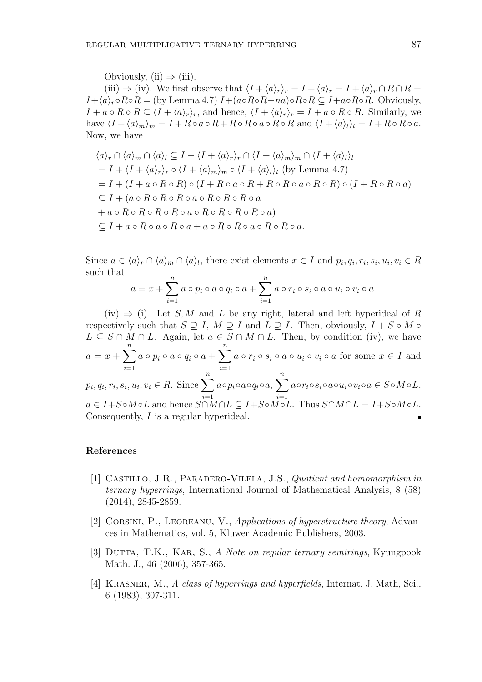Obviously, (ii)  $\Rightarrow$  (iii).

(iii)  $\Rightarrow$  (iv). We first observe that  $\langle I + \langle a \rangle_r \rangle_r = I + \langle a \rangle_r = I + \langle a \rangle_r \cap R \cap R =$  $I + \langle a \rangle_r \circ R \circ R = (\text{by Lemma 4.7}) I + (a \circ R \circ R + na) \circ R \circ R \subseteq I + a \circ R \circ R$ . Obviously,  $I + a \circ R \circ R \subseteq \langle I + \langle a \rangle_r \rangle_r$ , and hence,  $\langle I + \langle a \rangle_r \rangle_r = I + a \circ R \circ R$ . Similarly, we have  $\langle I + \langle a \rangle_m \rangle_m = I + R \circ a \circ R + R \circ R \circ a \circ R \circ R$  and  $\langle I + \langle a \rangle_l \rangle_l = I + R \circ R \circ a$ . Now, we have

$$
\langle a \rangle_r \cap \langle a \rangle_m \cap \langle a \rangle_l \subseteq I + \langle I + \langle a \rangle_r \rangle_r \cap \langle I + \langle a \rangle_m \rangle_m \cap \langle I + \langle a \rangle_l \rangle_l
$$
  
=  $I + \langle I + \langle a \rangle_r \rangle_r \circ \langle I + \langle a \rangle_m \rangle_m \circ \langle I + \langle a \rangle_l \rangle_l$  (by Lemma 4.7)  
=  $I + (I + a \circ R \circ R) \circ (I + R \circ a \circ R + R \circ R \circ a \circ R \circ R) \circ (I + R \circ R \circ a)$   
 $\subseteq I + (a \circ R \circ R \circ R \circ a \circ R \circ R \circ a \circ R \circ a)$   
+  $a \circ R \circ R \circ R \circ a \circ R \circ R \circ R \circ a \circ R \circ a \circ R$   
 $\subseteq I + a \circ R \circ a \circ R \circ a \circ R \circ a \circ R \circ a \circ R \circ a \circ R \circ a \circ R$ 

Since  $a \in \langle a \rangle_r \cap \langle a \rangle_m \cap \langle a \rangle_l$ , there exist elements  $x \in I$  and  $p_i, q_i, r_i, s_i, u_i, v_i \in R$ such that

$$
a = x + \sum_{i=1}^{n} a \circ p_i \circ a \circ q_i \circ a + \sum_{i=1}^{n} a \circ r_i \circ s_i \circ a \circ u_i \circ v_i \circ a.
$$

(iv)  $\Rightarrow$  (i). Let *S, M* and *L* be any right, lateral and left hyperideal of *R* respectively such that  $S \supseteq I$ ,  $M \supseteq I$  and  $L \supseteq I$ . Then, obviously,  $I + S \circ M \circ$ *L* ⊆ *S* ∩ *M* ∩ *L*. Again, let  $a \in S \cap M \cap L$ . Then, by condition (iv), we have  $a = x + \sum_{n=1}^{n}$ *i*=1  $a \circ p_i \circ a \circ q_i \circ a + \sum^n$ *i*=1  $a \circ r_i \circ s_i \circ a \circ u_i \circ v_i \circ a$  for some  $x \in I$  and  $p_i, q_i, r_i, s_i, u_i, v_i \in R$ . Since  $\sum_{i=1}^{n}$ *i*=1 *a*∘ $p_i$ ∘ $a$ ∘ $q_i$ ∘ $a, \sum^n$ *i*=1  $a \circ r_i \circ s_i \circ a \circ u_i \circ v_i \circ a \in S \circ M \circ L$ .  $a \in I + S \circ M \circ L$  and hence  $S \cap M \cap L \subseteq I + S \circ M \circ L$ . Thus  $S \cap M \cap L = I + S \circ M \circ L$ . Consequently, *I* is a regular hyperideal.

#### **References**

- [1] Castillo, J.R., Paradero-Vilela, J.S., *Quotient and homomorphism in ternary hyperrings*, International Journal of Mathematical Analysis, 8 (58) (2014), 2845-2859.
- [2] Corsini, P., Leoreanu, V., *Applications of hyperstructure theory*, Advances in Mathematics, vol. 5, Kluwer Academic Publishers, 2003.
- [3] Dutta, T.K., Kar, S., *A Note on regular ternary semirings*, Kyungpook Math. J., 46 (2006), 357-365.
- [4] Krasner, M., *A class of hyperrings and hyperfields*, Internat. J. Math, Sci., 6 (1983), 307-311.